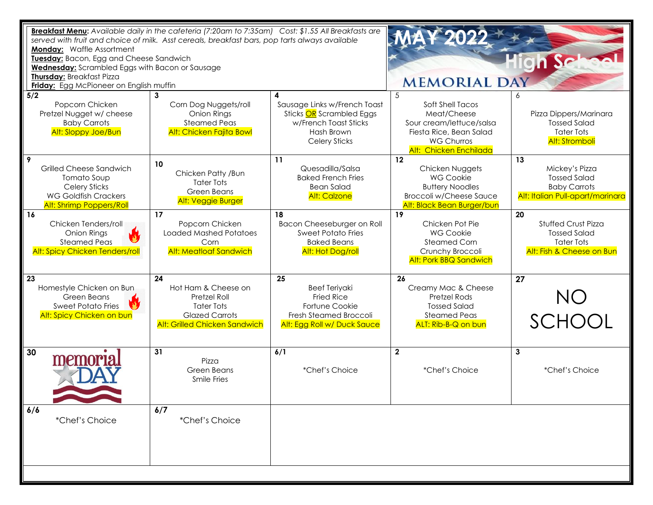| Breakfast Menu: Available daily in the cafeteria (7:20am to 7:35am) Cost: \$1.55 All Breakfasts are<br>served with fruit and choice of milk. Asst cereals, breakfast bars, pop tarts always available<br><b>Monday: Waffle Assortment</b><br>Tuesday: Bacon, Egg and Cheese Sandwich<br><b>Wednesday:</b> Scrambled Eggs with Bacon or Sausage<br>Thursday: Breakfast Pizza<br><b>Friday:</b> Egg McPioneer on English muffin |                                                                                                                                 |                                                                                                                            | <b>MAY 2022</b><br><b>MEMORIAL DAY</b>                                                                                                            |                                                                                                           |
|-------------------------------------------------------------------------------------------------------------------------------------------------------------------------------------------------------------------------------------------------------------------------------------------------------------------------------------------------------------------------------------------------------------------------------|---------------------------------------------------------------------------------------------------------------------------------|----------------------------------------------------------------------------------------------------------------------------|---------------------------------------------------------------------------------------------------------------------------------------------------|-----------------------------------------------------------------------------------------------------------|
| 5/2<br>Popcorn Chicken<br>Pretzel Nugget w/ cheese<br><b>Baby Carrots</b><br>Alt: Sloppy Joe/Bun                                                                                                                                                                                                                                                                                                                              | Corn Dog Nuggets/roll<br>Onion Rings<br><b>Steamed Peas</b><br><b>Alt: Chicken Fajita Bowl</b>                                  | Sausage Links w/French Toast<br>Sticks OR Scrambled Eggs<br>w/French Toast Sticks<br>Hash Brown<br><b>Celery Sticks</b>    | 5<br>Soft Shell Tacos<br>Meat/Cheese<br>Sour cream/lettuce/salsa<br>Fiesta Rice, Bean Salad<br><b>WG Churros</b><br><b>Alt: Chicken Enchilada</b> | Pizza Dippers/Marinara<br><b>Tossed Salad</b><br><b>Tater Tots</b><br><b>Alt: Stromboli</b>               |
| 9<br>Grilled Cheese Sandwich<br>Tomato Soup<br><b>Celery Sticks</b><br><b>WG Goldfish Crackers</b><br><b>Alt: Shrimp Poppers/Roll</b>                                                                                                                                                                                                                                                                                         | 10<br>Chicken Patty / Bun<br><b>Tater Tots</b><br>Green Beans<br><b>Alt: Veggie Burger</b>                                      | 11<br>Quesadilla/Salsa<br><b>Baked French Fries</b><br><b>Bean Salad</b><br><b>Alt: Calzone</b>                            | 12<br>Chicken Nuggets<br><b>WG Cookie</b><br><b>Buttery Noodles</b><br><b>Broccoli w/Cheese Sauce</b><br>Alt: Black Bean Burger/bun               | 13<br>Mickey's Pizza<br><b>Tossed Salad</b><br><b>Baby Carrots</b><br>Alt: Italian Pull-apart/marinara    |
| 16<br>Chicken Tenders/roll<br><b>Onion Rings</b><br><b>Steamed Peas</b><br><b>Alt: Spicy Chicken Tenders/roll</b>                                                                                                                                                                                                                                                                                                             | 17<br>Popcorn Chicken<br><b>Loaded Mashed Potatoes</b><br>Corn<br><b>Alt: Meatloaf Sandwich</b>                                 | 18<br>Bacon Cheeseburger on Roll<br><b>Sweet Potato Fries</b><br><b>Baked Beans</b><br>Alt: Hot Dog/roll                   | 19<br>Chicken Pot Pie<br><b>WG Cookie</b><br><b>Steamed Corn</b><br>Crunchy Broccoli<br><b>Alt: Pork BBQ Sandwich</b>                             | 20<br><b>Stuffed Crust Pizza</b><br><b>Tossed Salad</b><br><b>Tater Tots</b><br>Alt: Fish & Cheese on Bun |
| 23<br>Homestyle Chicken on Bun<br>Green Beans<br><b>Sweet Potato Fries</b><br>Alt: Spicy Chicken on bun                                                                                                                                                                                                                                                                                                                       | 24<br>Hot Ham & Cheese on<br>Pretzel Roll<br><b>Tater Tots</b><br><b>Glazed Carrots</b><br><b>Alt: Grilled Chicken Sandwich</b> | 25<br><b>Beef Teriyaki</b><br><b>Fried Rice</b><br>Fortune Cookie<br>Fresh Steamed Broccoli<br>Alt: Egg Roll w/ Duck Sauce | 26<br>Creamy Mac & Cheese<br><b>Pretzel Rods</b><br><b>Tossed Salad</b><br><b>Steamed Peas</b><br>ALT: Rib-B-Q on bun                             | 27<br><b>NO</b><br>SCHOOL                                                                                 |
| 30<br>memori                                                                                                                                                                                                                                                                                                                                                                                                                  | 31<br>Pizza<br><b>Green Beans</b><br><b>Smile Fries</b>                                                                         | 6/1<br>*Chef's Choice                                                                                                      | $\mathbf{2}$<br>*Chef's Choice                                                                                                                    | 3<br>*Chef's Choice                                                                                       |
| 6/6<br>*Chef's Choice                                                                                                                                                                                                                                                                                                                                                                                                         | 6/7<br>*Chef's Choice                                                                                                           |                                                                                                                            |                                                                                                                                                   |                                                                                                           |